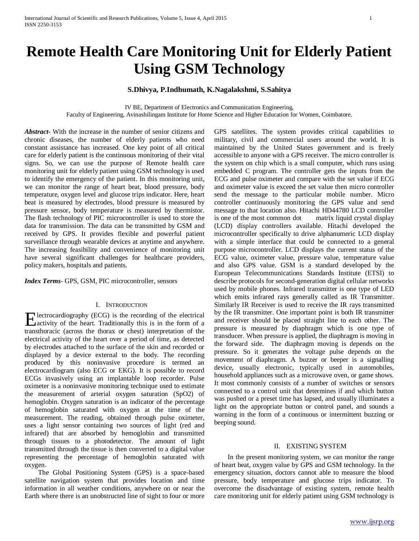# **Remote Health Care Monitoring Unit for Elderly Patient Using GSM Technology**

# **S.Dhivya, P.Indhumath, K.Nagalakshmi, S.Sahitya**

IV BE, Department of Electronics and Communication Engineering, Faculty of Engineering, Avinashilingam Institute for Home Science and Higher Education for Women, Coimbatore.

*Abstract***-** With the increase in the number of senior citizens and chronic diseases, the number of elderly patients who need constant assistance has increased. One key point of all critical care for elderly patient is the continuous monitoring of their vital signs. So, we can use the purpose of Remote health care monitoring unit for elderly patient using GSM technology is used to identify the emergency of the patient. In this monitoring unit, we can monitor the range of heart beat, blood pressure, body temperature, oxygen level and glucose trips indicator. Here, heart beat is measured by electrodes, blood pressure is measured by pressure sensor, body temperature is measured by thermistor. The flash technology of PIC microcontroller is used to store the data for transmission. The data can be transmitted by GSM and received by GPS. It provides flexible and powerful patient surveillance through wearable devices at anytime and anywhere. The increasing feasibility and convenience of monitoring unit have several significant challenges for healthcare providers, policy makers, hospitals and patients.

*Index Terms*- GPS, GSM, PIC microcontroller, sensors

#### I. INTRODUCTION

lectrocardiography (ECG) is the recording of the electrical **EXECUTE ACCON** ECGO is the recording of the electrical activity of the heart. Traditionally this is in the form of a transthoracic (across the thorax or chest) interpretation of the electrical activity of the heart over a period of time, as detected by electrodes attached to the surface of the skin and recorded or displayed by a device external to the body. The recording produced by this noninvasive procedure is termed an electrocardiogram (also ECG or EKG). It is possible to record ECGs invasively using an implantable loop recorder. Pulse oximeter is a noninvasive monitoring technique used to estimate the measurement of arterial oxygen saturation (SpO2) of hemoglobin. Oxygen saturation is an indicator of the percentage of hemoglobin saturated with oxygen at the time of the measurement. The reading, obtained through pulse oximeter, uses a light sensor containing two sources of light (red and infrared) that are absorbed by hemoglobin and transmitted through tissues to a photodetector. The amount of light transmitted through the tissue is then converted to a digital value representing the percentage of hemoglobin saturated with oxygen.

 The Global Positioning System (GPS) is a space-based satellite navigation system that provides location and time information in all weather conditions, anywhere on or near the Earth where there is an unobstructed line of sight to four or more

GPS satellites. The system provides critical capabilities to military, civil and commercial users around the world. It is maintained by the United States government and is freely accessible to anyone with a GPS receiver. The micro controller is the system on chip which is a small computer, which runs using embedded C program. The controller gets the inputs from the ECG and pulse oximeter and compare with the set value if ECG and oximeter value is exceed the set value then micro controller send the message to the particular mobile number. Micro controller continuously monitoring the GPS value and send message to that location also. Hitachi HD44780 LCD controller is one of the most common dot matrix liquid crystal display (LCD) display controllers available. Hitachi developed the microcontroller specifically to drive alphanumeric LCD display with a simple interface that could be connected to a general purpose microcontroller. LCD displays the current status of the ECG value, oximeter value, pressure value, temperature value and also GPS value. GSM is a standard developed by the European Telecommunications Standards Institute (ETSI) to describe protocols for second-generation digital cellular networks used by mobile phones. Infrared transmitter is one type of LED which emits infrared rays generally called as IR Transmitter. Similarly IR Receiver is used to receive the IR rays transmitted by the IR transmitter. One important point is both IR transmitter and receiver should be placed straight line to each other. The pressure is measured by diaphragm which is one type of transducer. When pressure is applied, the diaphragm is moving in the forward side. The diaphragm moving is depends on the pressure. So it generates the voltage pulse depends on the movement of diaphragm. A buzzer or beeper is a signalling device, usually electronic, typically used in automobiles, household appliances such as a microwave oven, or game shows. It most commonly consists of a number of switches or sensors connected to a control unit that determines if and which button was pushed or a preset time has lapsed, and usually illuminates a light on the appropriate button or control panel, and sounds a warning in the form of a continuous or intermittent buzzing or beeping sound.

#### II. EXISTING SYSTEM

 In the present monitoring system, we can monitor the range of heart beat, oxygen value by GPS and GSM technology. In the emergency situation, doctors cannot able to measure the blood pressure, body temperature and glucose trips indicator. To overcome the disadvantage of existing system, remote health care monitoring unit for elderly patient using GSM technology is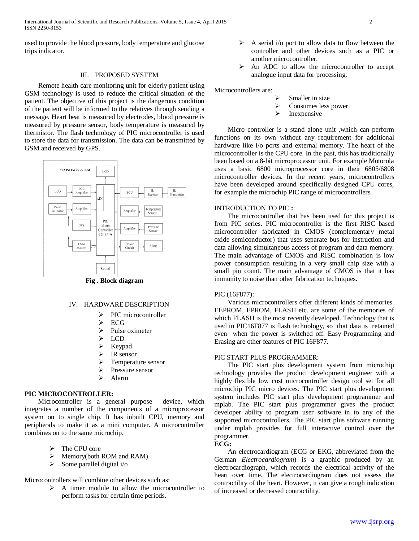International Journal of Scientific and Research Publications, Volume 5, Issue 4, April 2015 2 ISSN 2250-3153

used to provide the blood pressure, body temperature and glucose trips indicator.

# III. PROPOSED SYSTEM

 Remote health care monitoring unit for elderly patient using GSM technology is used to reduce the critical situation of the patient. The objective of this project is the dangerous condition of the patient will be informed to the relatives through sending a message. Heart beat is measured by electrodes, blood pressure is measured by pressure sensor, body temperature is measured by thermistor. The flash technology of PIC microcontroller is used to store the data for transmission. The data can be transmitted by GSM and received by GPS.



**Fig . Block diagram**

#### IV. HARDWARE DESCRIPTION

- PIC microcontroller
- $\triangleright$  ECG
- $\triangleright$  Pulse oximeter<br> $\triangleright$  LCD
- LCD
- $\triangleright$  Keypad
- $\triangleright$  IR sensor<br> $\triangleright$  Temperat
- Temperature sensor
- $\triangleright$  Pressure sensor
- $\triangleright$  Alarm

#### **PIC MICROCONTROLLER:**

 Microcontroller is a general purpose device, which integrates a number of the components of a microprocessor system on to single chip. It has inbuilt CPU, memory and peripherals to make it as a mini computer. A microcontroller combines on to the same microchip.

- $\triangleright$  The CPU core
- $\triangleright$  Memory(both ROM and RAM)
- $\triangleright$  Some parallel digital i/o

Microcontrollers will combine other devices such as:

 $\triangleright$  A timer module to allow the microcontroller to perform tasks for certain time periods.

- $\triangleright$  A serial i/o port to allow data to flow between the controller and other devices such as a PIC or another microcontroller.
- $\triangleright$  An ADC to allow the microcontroller to accept analogue input data for processing.

Microcontrollers are:

- Smaller in size
- Consumes less power
- $\blacktriangleright$  Inexpensive

 Micro controller is a stand alone unit ,which can perform functions on its own without any requirement for additional hardware like i/o ports and external memory. The heart of the microcontroller is the CPU core. In the past, this has traditionally been based on a 8-bit microprocessor unit. For example Motorola uses a basic 6800 microprocessor core in their 6805/6808 microcontroller devices. In the recent years, microcontrollers have been developed around specifically designed CPU cores, for example the microchip PIC range of microcontrollers.

# INTRODUCTION TO PIC **:**

 The microcontroller that has been used for this project is from PIC series. PIC microcontroller is the first RISC based microcontroller fabricated in CMOS (complementary metal oxide semiconductor) that uses separate bus for instruction and data allowing simultaneous access of program and data memory. The main advantage of CMOS and RISC combination is low power consumption resulting in a very small chip size with a small pin count. The main advantage of CMOS is that it has immunity to noise than other fabrication techniques.

#### PIC (16F877):

 Various microcontrollers offer different kinds of memories. EEPROM, EPROM, FLASH etc. are some of the memories of which FLASH is the most recently developed. Technology that is used in PIC16F877 is flash technology, so that data is retained even when the power is switched off. Easy Programming and Erasing are other features of PIC 16F877.

## PIC START PLUS PROGRAMMER:

 The PIC start plus development system from microchip technology provides the product development engineer with a highly flexible low cost microcontroller design tool set for all microchip PIC micro devices. The PIC start plus development system includes PIC start plus development programmer and mplab. The PIC start plus programmer gives the product developer ability to program user software in to any of the supported microcontrollers. The PIC start plus software running under mplab provides for full interactive control over the programmer.

#### **ECG:**

 An electrocardiogram (ECG or EKG, abbreviated from the German *Electrocardiogram*) is a graphic produced by an electrocardiograph, which records the electrical activity of the heart over time. The electrocardiogram does not assess the contractility of the heart. However, it can give a rough indication of increased or decreased contractility.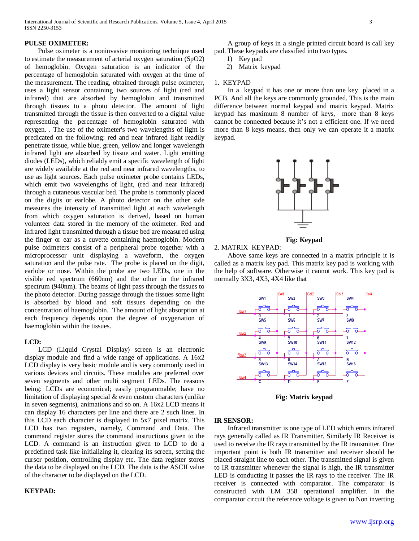#### **PULSE OXIMETER:**

 Pulse oximeter is a noninvasive monitoring technique used to estimate the measurement of arterial oxygen saturation (SpO2) of hemoglobin. Oxygen saturation is an indicator of the percentage of hemoglobin saturated with oxygen at the time of the measurement. The reading, obtained through pulse oximeter, uses a light sensor containing two sources of light (red and infrared) that are absorbed by hemoglobin and transmitted through tissues to a photo detector. The amount of light transmitted through the tissue is then converted to a digital value representing the percentage of hemoglobin saturated with oxygen. . The use of the oximeter's two wavelengths of light is predicated on the following: red and near infrared light readily penetrate tissue, while blue, green, yellow and longer wavelength infrared light are absorbed by tissue and water. Light emitting diodes (LEDs), which reliably emit a specific wavelength of light are widely available at the red and near infrared wavelengths, to use as light sources. Each pulse oximeter probe contains LEDs, which emit two wavelengths of light, (red and near infrared) through a cutaneous vascular bed. The probe is commonly placed on the digits or earlobe. A photo detector on the other side measures the intensity of transmitted light at each wavelength from which oxygen saturation is derived, based on human volunteer data stored in the memory of the oximeter. Red and infrared light transmitted through a tissue bed are measured using the finger or ear as a cuvette containing haemoglobin. Modern pulse oximeters consist of a peripheral probe together with a microprocessor unit displaying a waveform, the oxygen saturation and the pulse rate. The probe is placed on the digit, earlobe or nose. Within the probe are two LEDs, one in the visible red spectrum (660nm) and the other in the infrared spectrum (940nm). The beams of light pass through the tissues to the photo detector. During passage through the tissues some light is absorbed by blood and soft tissues depending on the concentration of haemoglobin. The amount of light absorption at each frequency depends upon the degree of oxygenation of haemoglobin within the tissues.

#### **LCD:**

 LCD (Liquid Crystal Display) screen is an electronic display module and find a wide range of applications. A 16x2 LCD display is very basic module and is very commonly used in various devices and circuits. These modules are preferred over seven segments and other multi segment LEDs. The reasons being: LCDs are economical; easily programmable; have no limitation of displaying special & even custom characters (unlike in seven segments), animations and so on. A 16x2 LCD means it can display 16 characters per line and there are 2 such lines. In this LCD each character is displayed in 5x7 pixel matrix. This LCD has two registers, namely, Command and Data. The command register stores the command instructions given to the LCD. A command is an instruction given to LCD to do a predefined task like initializing it, clearing its screen, setting the cursor position, controlling display etc. The data register stores the data to be displayed on the LCD. The data is the ASCII value of the character to be displayed on the LCD.

#### **KEYPAD:**

 A group of keys in a single printed circuit board is call key pad. These keypads are classified into two types.

- 1) Key pad
- 2) Matrix keypad

#### 1. KEYPAD

 In a keypad it has one or more than one key placed in a PCB. And all the keys are commonly grounded. This is the main difference between normal keypad and matrix keypad. Matrix keypad has maximum 8 number of keys, more than 8 keys cannot be connected because it's not a efficient one. If we need more than 8 keys means, then only we can operate it a matrix keypad.



# **Fig: Keypad**

#### 2. MATRIX KEYPAD:

 Above same keys are connected in a matrix principle it is called as a matrix key pad. This matrix key pad is working with the help of software. Otherwise it cannot work. This key pad is normally 3X3, 4X3, 4X4 like that



**Fig: Matrix keypad**

#### **IR SENSOR:**

 Infrared transmitter is one type of LED which emits infrared rays generally called as IR Transmitter. Similarly IR Receiver is used to receive the IR rays transmitted by the IR transmitter. One important point is both IR transmitter and receiver should be placed straight line to each other. The transmitted signal is given to IR transmitter whenever the signal is high, the IR transmitter LED is conducting it passes the IR rays to the receiver. The IR receiver is connected with comparator. The comparator is constructed with LM 358 operational amplifier. In the comparator circuit the reference voltage is given to Non inverting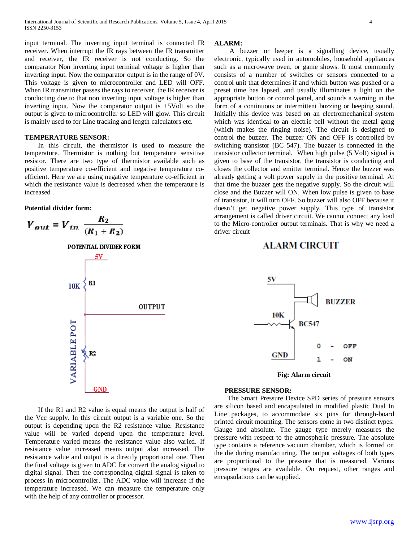input terminal. The inverting input terminal is connected IR receiver. When interrupt the IR rays between the IR transmitter and receiver, the IR receiver is not conducting. So the comparator Non inverting input terminal voltage is higher than inverting input. Now the comparator output is in the range of 0V. This voltage is given to microcontroller and LED will OFF. When IR transmitter passes the rays to receiver, the IR receiver is conducting due to that non inverting input voltage is higher than inverting input. Now the comparator output is +5Volt so the output is given to microcontroller so LED will glow. This circuit is mainly used to for Line tracking and length calculators etc.

## **TEMPERATURE SENSOR:**

 In this circuit, the thermistor is used to measure the temperature. Thermistor is nothing but temperature sensitive resistor. There are two type of thermistor available such as positive temperature co-efficient and negative temperature coefficient. Here we are using negative temperature co-efficient in which the resistance value is decreased when the temperature is increased .

**Potential divider form:**

$$
V_{out} = V_{in} \frac{R_2}{(R_1 + R_2)}
$$

POTENTIAL DIVIDER FORM



 If the R1 and R2 value is equal means the output is half of the Vcc supply. In this circuit output is a variable one. So the output is depending upon the R2 resistance value. Resistance value will be varied depend upon the temperature level. Temperature varied means the resistance value also varied. If resistance value increased means output also increased. The resistance value and output is a directly proportional one. Then the final voltage is given to ADC for convert the analog signal to digital signal. Then the corresponding digital signal is taken to process in microcontroller. The ADC value will increase if the temperature increased. We can measure the temperature only with the help of any controller or processor.

#### **ALARM:**

 A buzzer or beeper is a signalling device, usually electronic, typically used in automobiles, household appliances such as a microwave oven, or game shows. It most commonly consists of a number of switches or sensors connected to a control unit that determines if and which button was pushed or a preset time has lapsed, and usually illuminates a light on the appropriate button or control panel, and sounds a warning in the form of a continuous or intermittent buzzing or beeping sound. Initially this device was based on an electromechanical system which was identical to an electric bell without the metal gong (which makes the ringing noise). The circuit is designed to control the buzzer. The buzzer ON and OFF is controlled by switching transistor (BC 547). The buzzer is connected in the transistor collector terminal. When high pulse (5 Volt) signal is given to base of the transistor, the transistor is conducting and closes the collector and emitter terminal. Hence the buzzer was already getting a volt power supply in the positive terminal. At that time the buzzer gets the negative supply. So the circuit will close and the Buzzer will ON. When low pulse is given to base of transistor, it will turn OFF. So buzzer will also OFF because it doesn't get negative power supply. This type of transistor arrangement is called driver circuit. We cannot connect any load to the Micro-controller output terminals. That is why we need a driver circuit

# **ALARM CIRCUIT**



**Fig: Alarm circuit**

# **PRESSURE SENSOR:**

 The Smart Pressure Device SPD series of pressure sensors are silicon based and encapsulated in modified plastic Dual In Line packages, to accommodate six pins for through-board printed circuit mounting. The sensors come in two distinct types: Gauge and absolute. The gauge type merely measures the pressure with respect to the atmospheric pressure. The absolute type contains a reference vacuum chamber, which is formed on the die during manufacturing. The output voltages of both types are proportional to the pressure that is measured. Various pressure ranges are available. On request, other ranges and encapsulations can be supplied.